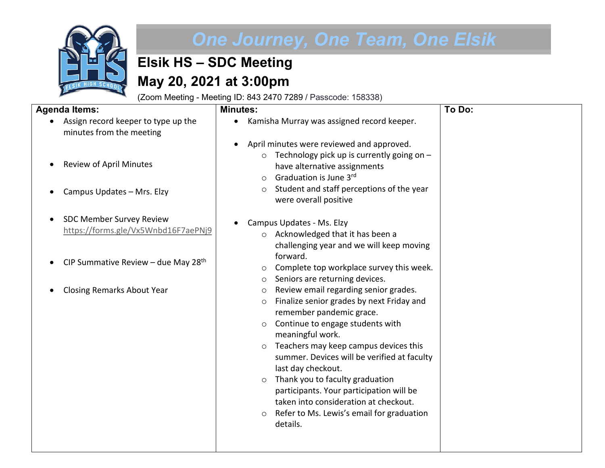

## *One Journey, One Team, One Elsik*

## **Elsik HS – SDC Meeting May 20, 2021 at 3:00pm**

(Zoom Meeting - Meeting ID: 843 2470 7289 / Passcode: 158338)

**Minutes:**

## **Agenda Items:**

| Assign record keeper to type up the |
|-------------------------------------|
| minutes from the meeting            |

- Review of April Minutes
- Campus Updates Mrs. Elzy
- SDC Member Survey Review <https://forms.gle/Vx5Wnbd16F7aePNj9>
- CIP Summative Review due May 28<sup>th</sup>
- Closing Remarks About Year

| • Kamisha Murray was assigned record keeper. |
|----------------------------------------------|
| • April minutes were reviewed and approved.  |

 $\circ$  Technology pick up is currently going on have alternative assignments

**To Do:**

- $\circ$  Graduation is June 3<sup>rd</sup>
- o Student and staff perceptions of the year were overall positive

## • Campus Updates - Ms. Elzy

- o Acknowledged that it has been a challenging year and we will keep moving forward.
- o Complete top workplace survey this week.
- o Seniors are returning devices.
- o Review email regarding senior grades.
- o Finalize senior grades by next Friday and remember pandemic grace.
- o Continue to engage students with meaningful work.
- o Teachers may keep campus devices this summer. Devices will be verified at faculty last day checkout.
- o Thank you to faculty graduation participants. Your participation will be taken into consideration at checkout.
- o Refer to Ms. Lewis's email for graduation details.